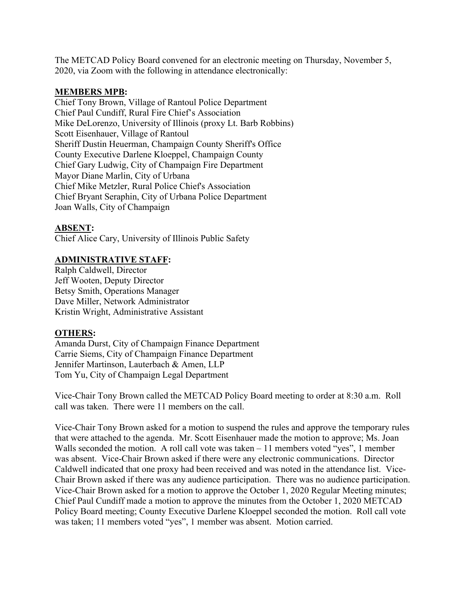The METCAD Policy Board convened for an electronic meeting on Thursday, November 5, 2020, via Zoom with the following in attendance electronically:

## **MEMBERS MPB:**

Chief Tony Brown, Village of Rantoul Police Department Chief Paul Cundiff, Rural Fire Chief's Association Mike DeLorenzo, University of Illinois (proxy Lt. Barb Robbins) Scott Eisenhauer, Village of Rantoul Sheriff Dustin Heuerman, Champaign County Sheriff's Office County Executive Darlene Kloeppel, Champaign County Chief Gary Ludwig, City of Champaign Fire Department Mayor Diane Marlin, City of Urbana Chief Mike Metzler, Rural Police Chief's Association Chief Bryant Seraphin, City of Urbana Police Department Joan Walls, City of Champaign

## **ABSENT:**

Chief Alice Cary, University of Illinois Public Safety

## **ADMINISTRATIVE STAFF:**

Ralph Caldwell, Director Jeff Wooten, Deputy Director Betsy Smith, Operations Manager Dave Miller, Network Administrator Kristin Wright, Administrative Assistant

## **OTHERS:**

Amanda Durst, City of Champaign Finance Department Carrie Siems, City of Champaign Finance Department Jennifer Martinson, Lauterbach & Amen, LLP Tom Yu, City of Champaign Legal Department

Vice-Chair Tony Brown called the METCAD Policy Board meeting to order at 8:30 a.m. Roll call was taken. There were 11 members on the call.

Vice-Chair Tony Brown asked for a motion to suspend the rules and approve the temporary rules that were attached to the agenda. Mr. Scott Eisenhauer made the motion to approve; Ms. Joan Walls seconded the motion. A roll call vote was taken – 11 members voted "yes", 1 member was absent. Vice-Chair Brown asked if there were any electronic communications. Director Caldwell indicated that one proxy had been received and was noted in the attendance list. Vice-Chair Brown asked if there was any audience participation. There was no audience participation. Vice-Chair Brown asked for a motion to approve the October 1, 2020 Regular Meeting minutes; Chief Paul Cundiff made a motion to approve the minutes from the October 1, 2020 METCAD Policy Board meeting; County Executive Darlene Kloeppel seconded the motion. Roll call vote was taken; 11 members voted "yes", 1 member was absent. Motion carried.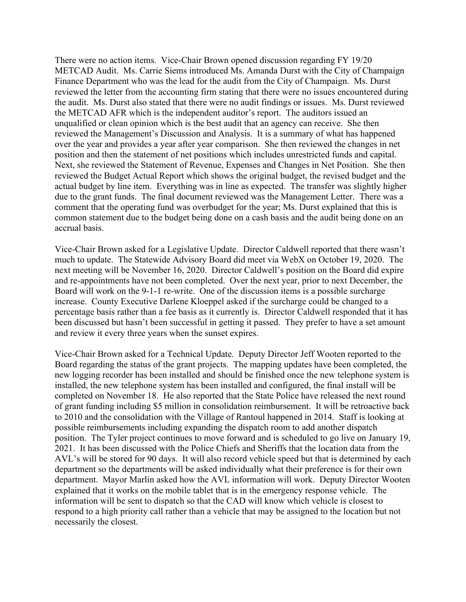There were no action items. Vice-Chair Brown opened discussion regarding FY 19/20 METCAD Audit. Ms. Carrie Siems introduced Ms. Amanda Durst with the City of Champaign Finance Department who was the lead for the audit from the City of Champaign. Ms. Durst reviewed the letter from the accounting firm stating that there were no issues encountered during the audit. Ms. Durst also stated that there were no audit findings or issues. Ms. Durst reviewed the METCAD AFR which is the independent auditor's report. The auditors issued an unqualified or clean opinion which is the best audit that an agency can receive. She then reviewed the Management's Discussion and Analysis. It is a summary of what has happened over the year and provides a year after year comparison. She then reviewed the changes in net position and then the statement of net positions which includes unrestricted funds and capital. Next, she reviewed the Statement of Revenue, Expenses and Changes in Net Position. She then reviewed the Budget Actual Report which shows the original budget, the revised budget and the actual budget by line item. Everything was in line as expected. The transfer was slightly higher due to the grant funds. The final document reviewed was the Management Letter. There was a comment that the operating fund was overbudget for the year; Ms. Durst explained that this is common statement due to the budget being done on a cash basis and the audit being done on an accrual basis.

Vice-Chair Brown asked for a Legislative Update. Director Caldwell reported that there wasn't much to update. The Statewide Advisory Board did meet via WebX on October 19, 2020. The next meeting will be November 16, 2020. Director Caldwell's position on the Board did expire and re-appointments have not been completed. Over the next year, prior to next December, the Board will work on the 9-1-1 re-write. One of the discussion items is a possible surcharge increase. County Executive Darlene Kloeppel asked if the surcharge could be changed to a percentage basis rather than a fee basis as it currently is. Director Caldwell responded that it has been discussed but hasn't been successful in getting it passed. They prefer to have a set amount and review it every three years when the sunset expires.

Vice-Chair Brown asked for a Technical Update. Deputy Director Jeff Wooten reported to the Board regarding the status of the grant projects. The mapping updates have been completed, the new logging recorder has been installed and should be finished once the new telephone system is installed, the new telephone system has been installed and configured, the final install will be completed on November 18. He also reported that the State Police have released the next round of grant funding including \$5 million in consolidation reimbursement. It will be retroactive back to 2010 and the consolidation with the Village of Rantoul happened in 2014. Staff is looking at possible reimbursements including expanding the dispatch room to add another dispatch position. The Tyler project continues to move forward and is scheduled to go live on January 19, 2021. It has been discussed with the Police Chiefs and Sheriffs that the location data from the AVL's will be stored for 90 days. It will also record vehicle speed but that is determined by each department so the departments will be asked individually what their preference is for their own department. Mayor Marlin asked how the AVL information will work. Deputy Director Wooten explained that it works on the mobile tablet that is in the emergency response vehicle. The information will be sent to dispatch so that the CAD will know which vehicle is closest to respond to a high priority call rather than a vehicle that may be assigned to the location but not necessarily the closest.